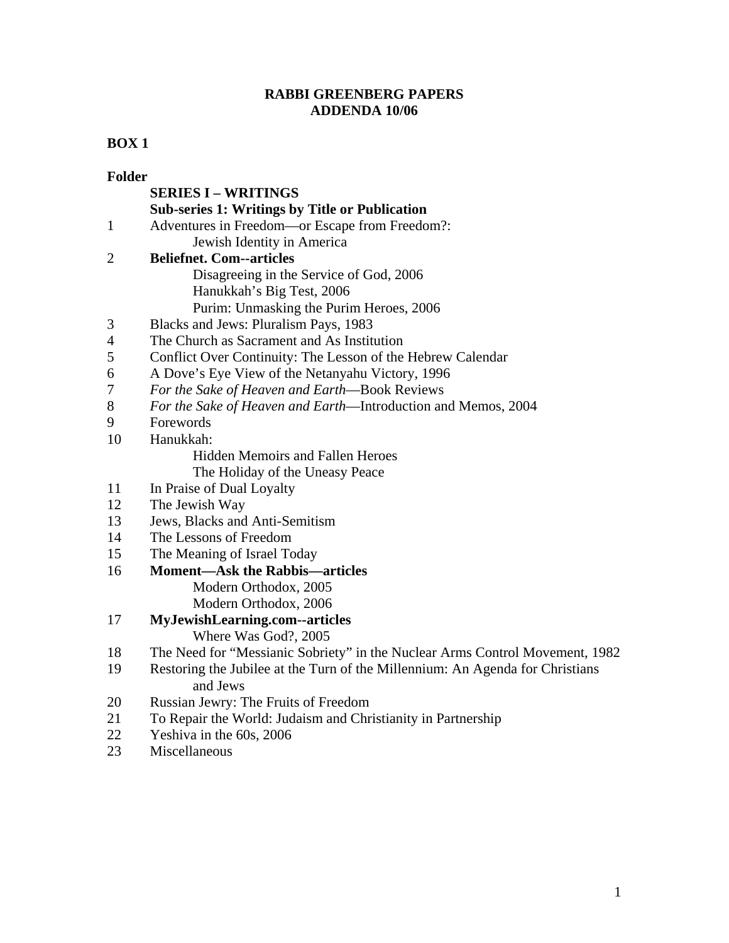# **RABBI GREENBERG PAPERS ADDENDA 10/06**

# **BOX 1**

| <b>Folder</b> |                                                                                           |
|---------------|-------------------------------------------------------------------------------------------|
|               | <b>SERIES I - WRITINGS</b>                                                                |
|               | <b>Sub-series 1: Writings by Title or Publication</b>                                     |
| $\mathbf{1}$  | Adventures in Freedom—or Escape from Freedom?:                                            |
|               | Jewish Identity in America                                                                |
| 2             | <b>Beliefnet. Com--articles</b>                                                           |
|               | Disagreeing in the Service of God, 2006                                                   |
|               | Hanukkah's Big Test, 2006                                                                 |
|               | Purim: Unmasking the Purim Heroes, 2006                                                   |
| 3             | Blacks and Jews: Pluralism Pays, 1983                                                     |
| 4             | The Church as Sacrament and As Institution                                                |
| 5             | Conflict Over Continuity: The Lesson of the Hebrew Calendar                               |
| 6             | A Dove's Eye View of the Netanyahu Victory, 1996                                          |
| 7             | For the Sake of Heaven and Earth-Book Reviews                                             |
| 8             | For the Sake of Heaven and Earth-Introduction and Memos, 2004                             |
| 9             | Forewords                                                                                 |
| 10            | Hanukkah:                                                                                 |
|               | <b>Hidden Memoirs and Fallen Heroes</b>                                                   |
|               | The Holiday of the Uneasy Peace                                                           |
| 11            | In Praise of Dual Loyalty                                                                 |
| 12            | The Jewish Way                                                                            |
| 13            | Jews, Blacks and Anti-Semitism                                                            |
| 14            | The Lessons of Freedom                                                                    |
| 15            | The Meaning of Israel Today                                                               |
| 16            | <b>Moment—Ask the Rabbis—articles</b>                                                     |
|               | Modern Orthodox, 2005                                                                     |
|               | Modern Orthodox, 2006                                                                     |
| 17            | MyJewishLearning.com--articles                                                            |
|               | Where Was God?, 2005                                                                      |
| 18            | The Need for "Messianic Sobriety" in the Nuclear Arms Control Movement, 1982              |
| 19            | Restoring the Jubilee at the Turn of the Millennium: An Agenda for Christians<br>and Jews |
| 20            | Russian Jewry: The Fruits of Freedom                                                      |
| 21            | To Repair the World: Judaism and Christianity in Partnership                              |
| 22            | Yeshiva in the 60s, 2006                                                                  |
| 23            | Miscellaneous                                                                             |
|               |                                                                                           |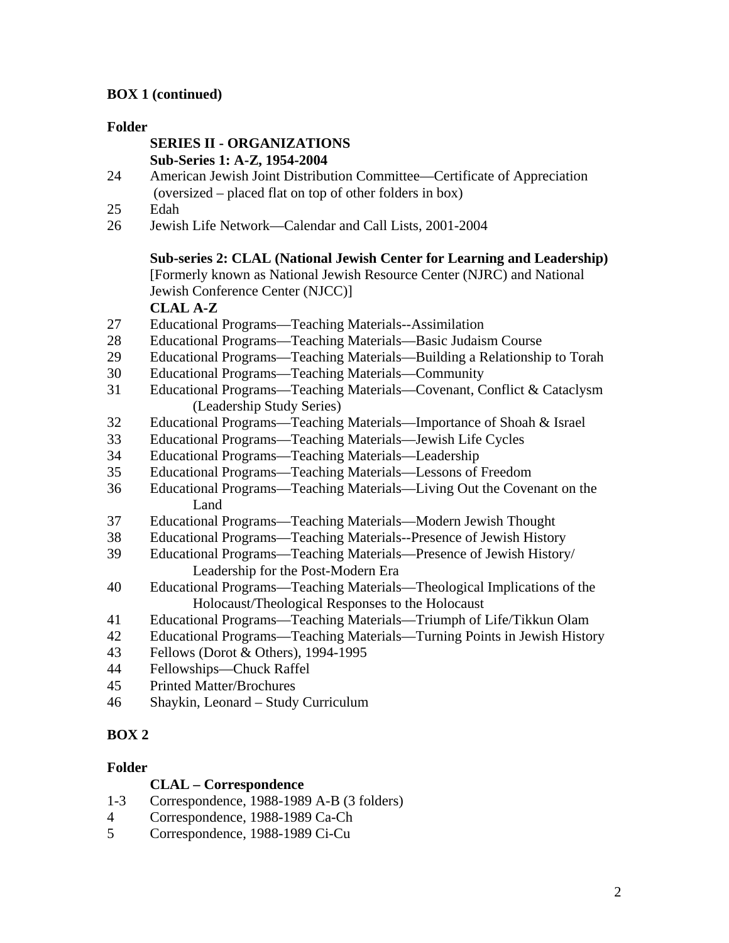# **BOX 1 (continued)**

#### **Folder**

### **SERIES II - ORGANIZATIONS Sub-Series 1: A-Z, 1954-2004**

- 24 American Jewish Joint Distribution Committee—Certificate of Appreciation (oversized – placed flat on top of other folders in box)
- 25 Edah
- 26 Jewish Life Network—Calendar and Call Lists, 2001-2004

## **Sub-series 2: CLAL (National Jewish Center for Learning and Leadership)**

[Formerly known as National Jewish Resource Center (NJRC) and National Jewish Conference Center (NJCC)]

**CLAL A-Z** 

- 27 Educational Programs—Teaching Materials--Assimilation
- 28 Educational Programs—Teaching Materials—Basic Judaism Course
- 29 Educational Programs—Teaching Materials—Building a Relationship to Torah
- 30 Educational Programs—Teaching Materials—Community
- 31 Educational Programs—Teaching Materials—Covenant, Conflict & Cataclysm (Leadership Study Series)
- 32 Educational Programs—Teaching Materials—Importance of Shoah & Israel
- 33 Educational Programs—Teaching Materials—Jewish Life Cycles
- 34 Educational Programs—Teaching Materials—Leadership
- 35 Educational Programs—Teaching Materials—Lessons of Freedom
- 36 Educational Programs—Teaching Materials—Living Out the Covenant on the Land
- 37 Educational Programs—Teaching Materials—Modern Jewish Thought
- 38 Educational Programs—Teaching Materials--Presence of Jewish History
- 39 Educational Programs—Teaching Materials—Presence of Jewish History/ Leadership for the Post-Modern Era
- 40 Educational Programs—Teaching Materials—Theological Implications of the Holocaust/Theological Responses to the Holocaust
- 41 Educational Programs—Teaching Materials—Triumph of Life/Tikkun Olam
- 42 Educational Programs—Teaching Materials—Turning Points in Jewish History
- 43 Fellows (Dorot & Others), 1994-1995
- 44 Fellowships—Chuck Raffel
- 45 Printed Matter/Brochures
- 46 Shaykin, Leonard Study Curriculum

# **BOX 2**

## **Folder**

## **CLAL – Correspondence**

- 1-3 Correspondence, 1988-1989 A-B (3 folders)
- 4 Correspondence, 1988-1989 Ca-Ch
- 5 Correspondence, 1988-1989 Ci-Cu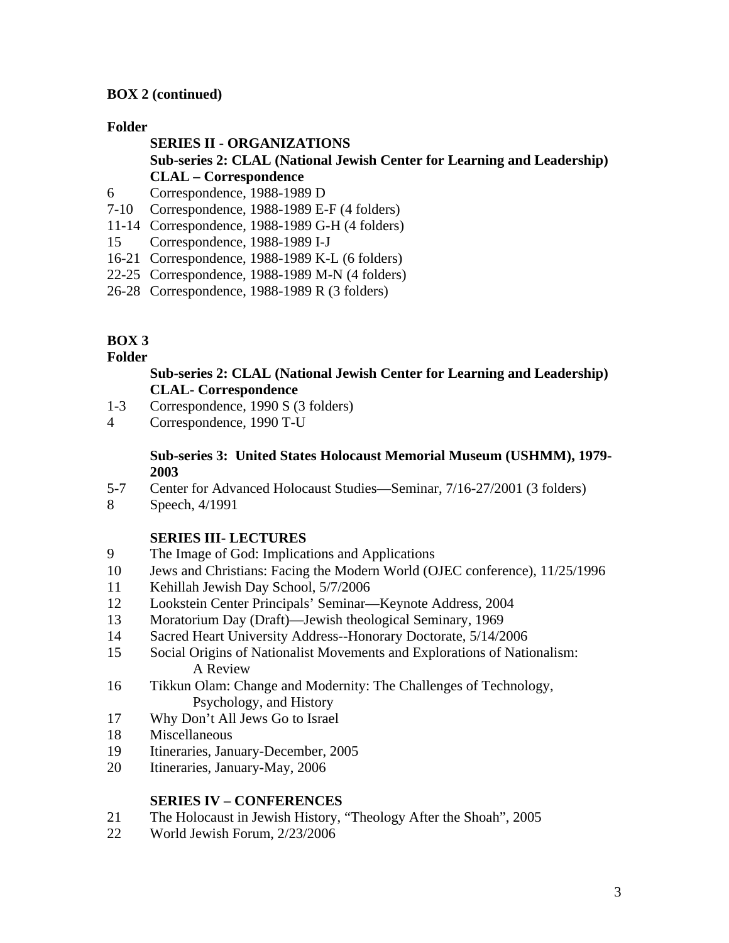### **BOX 2 (continued)**

#### **Folder**

#### **SERIES II - ORGANIZATIONS Sub-series 2: CLAL (National Jewish Center for Learning and Leadership) CLAL – Correspondence**

- 6 Correspondence, 1988-1989 D
- 7-10 Correspondence, 1988-1989 E-F (4 folders)
- 11-14 Correspondence, 1988-1989 G-H (4 folders)
- 15 Correspondence, 1988-1989 I-J
- 16-21 Correspondence, 1988-1989 K-L (6 folders)
- 22-25 Correspondence, 1988-1989 M-N (4 folders)
- 26-28 Correspondence, 1988-1989 R (3 folders)

#### **BOX 3**

#### **Folder**

#### **Sub-series 2: CLAL (National Jewish Center for Learning and Leadership) CLAL- Correspondence**

- 1-3 Correspondence, 1990 S (3 folders)
- 4 Correspondence, 1990 T-U

#### **Sub-series 3: United States Holocaust Memorial Museum (USHMM), 1979- 2003**

- 5-7 Center for Advanced Holocaust Studies—Seminar, 7/16-27/2001 (3 folders)
- 8 Speech, 4/1991

#### **SERIES III- LECTURES**

- 9 The Image of God: Implications and Applications
- 10 Jews and Christians: Facing the Modern World (OJEC conference), 11/25/1996
- 11 Kehillah Jewish Day School, 5/7/2006
- 12 Lookstein Center Principals' Seminar—Keynote Address, 2004
- 13 Moratorium Day (Draft)—Jewish theological Seminary, 1969
- 14 Sacred Heart University Address--Honorary Doctorate, 5/14/2006
- 15 Social Origins of Nationalist Movements and Explorations of Nationalism: A Review
- 16 Tikkun Olam: Change and Modernity: The Challenges of Technology, Psychology, and History
- 17 Why Don't All Jews Go to Israel
- 18 Miscellaneous
- 19 Itineraries, January-December, 2005
- 20 Itineraries, January-May, 2006

#### **SERIES IV – CONFERENCES**

- 21 The Holocaust in Jewish History, "Theology After the Shoah", 2005
- 22 World Jewish Forum, 2/23/2006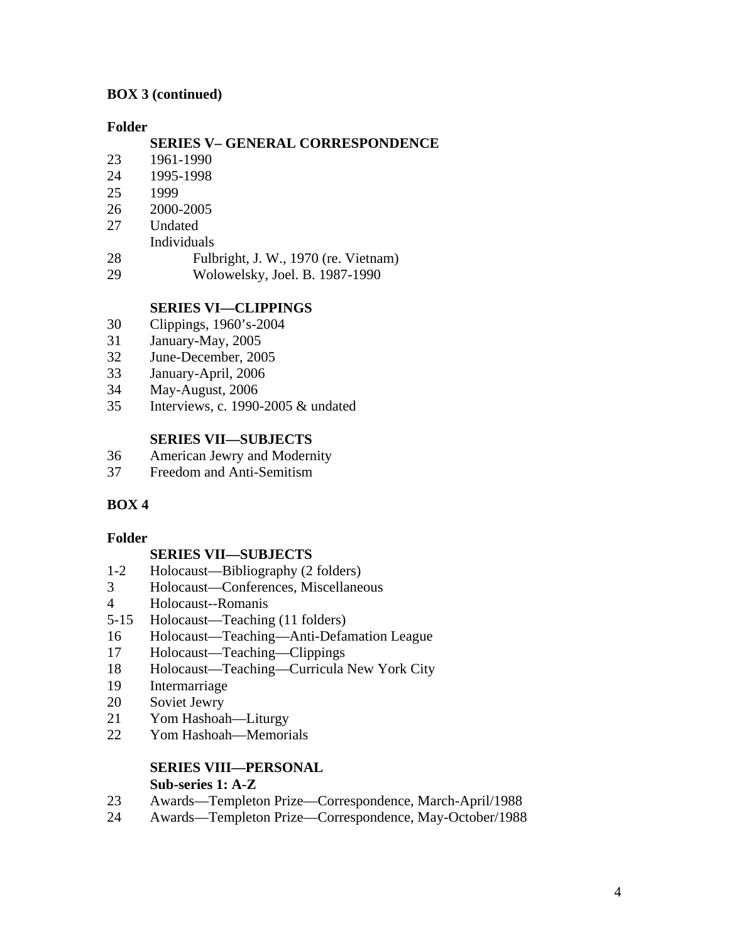## **BOX 3 (continued)**

#### **Folder**

## **SERIES V– GENERAL CORRESPONDENCE**

- 23 1961-1990
- 24 1995-1998
- 25 1999
- 26 2000-2005
- 27 Undated
- Individuals
- 28 Fulbright, J. W., 1970 (re. Vietnam)
- 29 Wolowelsky, Joel. B. 1987-1990

# **SERIES VI—CLIPPINGS**

- 30 Clippings, 1960's-2004
- 31 January-May, 2005
- 32 June-December, 2005
- 33 January-April, 2006
- 34 May-August, 2006
- 35 Interviews, c. 1990-2005 & undated

## **SERIES VII—SUBJECTS**

- 36 American Jewry and Modernity
- 37 Freedom and Anti-Semitism

# **BOX 4**

## **Folder**

## **SERIES VII—SUBJECTS**

- 1-2 Holocaust—Bibliography (2 folders)
- 3 Holocaust—Conferences, Miscellaneous
- 4 Holocaust--Romanis
- 5-15 Holocaust—Teaching (11 folders)
- 16 Holocaust—Teaching—Anti-Defamation League
- 17 Holocaust—Teaching—Clippings
- 18 Holocaust—Teaching—Curricula New York City
- 19 Intermarriage
- 20 Soviet Jewry
- 21 Yom Hashoah—Liturgy
- 22 Yom Hashoah—Memorials

# **SERIES VIII—PERSONAL**

## **Sub-series 1: A-Z**

- 23 Awards—Templeton Prize—Correspondence, March-April/1988
- 24 Awards—Templeton Prize—Correspondence, May-October/1988